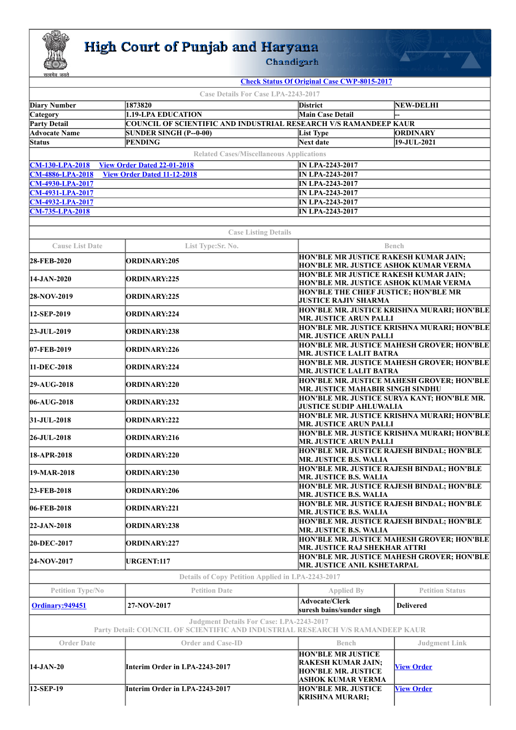

## **High Court of Punjab and Haryana**<br>Chandigarh

**The Company of Company of Company** 

| <b>Case Details For Case LPA-2243-2017</b><br>1873820<br><b>NEW-DELHI</b><br><b>Diary Number</b><br>District<br>1.19-LPA EDUCATION<br>Main Case Detail<br>Category<br><b>Party Detail</b><br><b>COUNCIL OF SCIENTIFIC AND INDUSTRIAL RESEARCH V/S RAMANDEEP KAUR</b><br><b>Advocate Name</b><br><b>ORDINARY</b><br><b>SUNDER SINGH (P--0-00)</b><br><b>List Type</b><br><b>Status</b><br><b>PENDING</b><br>$19 - JUL - 2021$<br>Next date<br><b>Related Cases/Miscellaneous Applications</b><br><b>CM-130-LPA-2018</b><br><b>View Order Dated 22-01-2018</b><br><b>IN LPA-2243-2017</b><br><b>CM-4886-LPA-2018</b><br><b>View Order Dated 11-12-2018</b><br><b>IN LPA-2243-2017</b><br><b>CM-4930-LPA-2017</b><br><b>IN LPA-2243-2017</b><br><b>CM-4931-LPA-2017</b><br><b>IN LPA-2243-2017</b><br><b>CM-4932-LPA-2017</b><br><b>IN LPA-2243-2017</b><br><b>CM-735-LPA-2018</b><br><b>IN LPA-2243-2017</b><br><b>Case Listing Details</b><br><b>Cause List Date</b><br>List Type:Sr. No.<br>Bench<br>HON'BLE MR JUSTICE RAKESH KUMAR JAIN;<br>ORDINARY:205<br>28-FEB-2020<br>HON'BLE MR. JUSTICE ASHOK KUMAR VERMA<br>HON'BLE MR JUSTICE RAKESH KUMAR JAIN;<br>14-JAN-2020<br><b>ORDINARY:225</b><br>HON'BLE MR. JUSTICE ASHOK KUMAR VERMA<br>HON'BLE THE CHIEF JUSTICE; HON'BLE MR<br><b>ORDINARY:225</b><br>28-NOV-2019<br><b>JUSTICE RAJIV SHARMA</b><br>HON'BLE MR. JUSTICE KRISHNA MURARI; HON'BLE<br>12-SEP-2019<br><b>ORDINARY:224</b><br><b>MR. JUSTICE ARUN PALLI</b><br>HON'BLE MR. JUSTICE KRISHNA MURARI; HON'BLE<br><b>ORDINARY:238</b><br>23-JUL-2019<br><b>MR. JUSTICE ARUN PALLI</b><br><b>HON'BLE MR. JUSTICE MAHESH GROVER; HON'BLE</b><br>07-FEB-2019<br>ORDINARY:226<br><b>MR. JUSTICE LALIT BATRA</b><br>HON'BLE MR. JUSTICE MAHESH GROVER; HON'BLE<br>11-DEC-2018<br>ORDINARY:224<br><b>MR. JUSTICE LALIT BATRA</b><br><b>HON'BLE MR. JUSTICE MAHESH GROVER; HON'BLE</b><br><b>ORDINARY:220</b><br><b>29-AUG-2018</b><br>MR. JUSTICE MAHABIR SINGH SINDHU<br>HON'BLE MR. JUSTICE SURYA KANT; HON'BLE MR.<br>$ 06-AUG-2018$<br><b>ORDINARY:232</b><br><b>JUSTICE SUDIP AHLUWALIA</b><br>HON'BLE MR. JUSTICE KRISHNA MURARI; HON'BLE<br>31-JUL-2018<br>ORDINARY:222<br><b>MR. JUSTICE ARUN PALLI</b><br>HON'BLE MR. JUSTICE KRISHNA MURARI; HON'BLE<br>26-JUL-2018<br><b>ORDINARY:216</b><br><b>MR. JUSTICE ARUN PALLI</b><br>HON'BLE MR. JUSTICE RAJESH BINDAL; HON'BLE<br>ORDINARY:220<br>18-APR-2018<br><b>MR. JUSTICE B.S. WALIA</b><br>HON'BLE MR. JUSTICE RAJESH BINDAL; HON'BLE<br>19-MAR-2018<br><b>ORDINARY:230</b><br><b>MR. JUSTICE B.S. WALIA</b><br>HON'BLE MR. JUSTICE RAJESH BINDAL; HON'BLE<br>ORDINARY:206<br>23-FEB-2018<br><b>MR. JUSTICE B.S. WALIA</b><br><b>HON'BLE MR. JUSTICE RAJESH BINDAL; HON'BLE</b><br>06-FEB-2018<br><b>ORDINARY:221</b><br><b>MR. JUSTICE B.S. WALIA</b><br>HON'BLE MR. JUSTICE RAJESH BINDAL; HON'BLE<br>22-JAN-2018<br><b>ORDINARY:238</b><br><b>MR. JUSTICE B.S. WALIA</b><br>HON'BLE MR. JUSTICE MAHESH GROVER; HON'BLE<br>20-DEC-2017<br><b>ORDINARY:227</b><br>MR. JUSTICE RAJ SHEKHAR ATTRI<br>HON'BLE MR. JUSTICE MAHESH GROVER; HON'BLE<br><b>URGENT:117</b><br>24-NOV-2017<br><b>MR. JUSTICE ANIL KSHETARPAL</b><br>Details of Copy Petition Applied in LPA-2243-2017<br>Petition Type/No<br><b>Petition Date</b><br><b>Petition Status</b><br><b>Applied By</b><br><b>Advocate/Clerk</b><br>Ordinary: 949451<br>27-NOV-2017<br><b>Delivered</b><br>suresh bains/sunder singh<br>Judgment Details For Case: LPA-2243-2017<br>Party Detail: COUNCIL OF SCIENTIFIC AND INDUSTRIAL RESEARCH V/S RAMANDEEP KAUR<br><b>Order Date</b><br><b>Order and Case-ID</b><br><b>Judgment Link</b><br><b>Bench</b> | <b>Check Status Of Original Case CWP-8015-2017</b> |  |  |  |  |  |  |
|-----------------------------------------------------------------------------------------------------------------------------------------------------------------------------------------------------------------------------------------------------------------------------------------------------------------------------------------------------------------------------------------------------------------------------------------------------------------------------------------------------------------------------------------------------------------------------------------------------------------------------------------------------------------------------------------------------------------------------------------------------------------------------------------------------------------------------------------------------------------------------------------------------------------------------------------------------------------------------------------------------------------------------------------------------------------------------------------------------------------------------------------------------------------------------------------------------------------------------------------------------------------------------------------------------------------------------------------------------------------------------------------------------------------------------------------------------------------------------------------------------------------------------------------------------------------------------------------------------------------------------------------------------------------------------------------------------------------------------------------------------------------------------------------------------------------------------------------------------------------------------------------------------------------------------------------------------------------------------------------------------------------------------------------------------------------------------------------------------------------------------------------------------------------------------------------------------------------------------------------------------------------------------------------------------------------------------------------------------------------------------------------------------------------------------------------------------------------------------------------------------------------------------------------------------------------------------------------------------------------------------------------------------------------------------------------------------------------------------------------------------------------------------------------------------------------------------------------------------------------------------------------------------------------------------------------------------------------------------------------------------------------------------------------------------------------------------------------------------------------------------------------------------------------------------------------------------------------------------------------------------------------------------------------------------------------------------------------------------------------------------------------------------------------------------------------------------------------------------------------------------------------------------------------------------------------------------------------------------------------------------------------------------------------------------------|----------------------------------------------------|--|--|--|--|--|--|
|                                                                                                                                                                                                                                                                                                                                                                                                                                                                                                                                                                                                                                                                                                                                                                                                                                                                                                                                                                                                                                                                                                                                                                                                                                                                                                                                                                                                                                                                                                                                                                                                                                                                                                                                                                                                                                                                                                                                                                                                                                                                                                                                                                                                                                                                                                                                                                                                                                                                                                                                                                                                                                                                                                                                                                                                                                                                                                                                                                                                                                                                                                                                                                                                                                                                                                                                                                                                                                                                                                                                                                                                                                                                                   |                                                    |  |  |  |  |  |  |
|                                                                                                                                                                                                                                                                                                                                                                                                                                                                                                                                                                                                                                                                                                                                                                                                                                                                                                                                                                                                                                                                                                                                                                                                                                                                                                                                                                                                                                                                                                                                                                                                                                                                                                                                                                                                                                                                                                                                                                                                                                                                                                                                                                                                                                                                                                                                                                                                                                                                                                                                                                                                                                                                                                                                                                                                                                                                                                                                                                                                                                                                                                                                                                                                                                                                                                                                                                                                                                                                                                                                                                                                                                                                                   |                                                    |  |  |  |  |  |  |
|                                                                                                                                                                                                                                                                                                                                                                                                                                                                                                                                                                                                                                                                                                                                                                                                                                                                                                                                                                                                                                                                                                                                                                                                                                                                                                                                                                                                                                                                                                                                                                                                                                                                                                                                                                                                                                                                                                                                                                                                                                                                                                                                                                                                                                                                                                                                                                                                                                                                                                                                                                                                                                                                                                                                                                                                                                                                                                                                                                                                                                                                                                                                                                                                                                                                                                                                                                                                                                                                                                                                                                                                                                                                                   |                                                    |  |  |  |  |  |  |
|                                                                                                                                                                                                                                                                                                                                                                                                                                                                                                                                                                                                                                                                                                                                                                                                                                                                                                                                                                                                                                                                                                                                                                                                                                                                                                                                                                                                                                                                                                                                                                                                                                                                                                                                                                                                                                                                                                                                                                                                                                                                                                                                                                                                                                                                                                                                                                                                                                                                                                                                                                                                                                                                                                                                                                                                                                                                                                                                                                                                                                                                                                                                                                                                                                                                                                                                                                                                                                                                                                                                                                                                                                                                                   |                                                    |  |  |  |  |  |  |
|                                                                                                                                                                                                                                                                                                                                                                                                                                                                                                                                                                                                                                                                                                                                                                                                                                                                                                                                                                                                                                                                                                                                                                                                                                                                                                                                                                                                                                                                                                                                                                                                                                                                                                                                                                                                                                                                                                                                                                                                                                                                                                                                                                                                                                                                                                                                                                                                                                                                                                                                                                                                                                                                                                                                                                                                                                                                                                                                                                                                                                                                                                                                                                                                                                                                                                                                                                                                                                                                                                                                                                                                                                                                                   |                                                    |  |  |  |  |  |  |
|                                                                                                                                                                                                                                                                                                                                                                                                                                                                                                                                                                                                                                                                                                                                                                                                                                                                                                                                                                                                                                                                                                                                                                                                                                                                                                                                                                                                                                                                                                                                                                                                                                                                                                                                                                                                                                                                                                                                                                                                                                                                                                                                                                                                                                                                                                                                                                                                                                                                                                                                                                                                                                                                                                                                                                                                                                                                                                                                                                                                                                                                                                                                                                                                                                                                                                                                                                                                                                                                                                                                                                                                                                                                                   |                                                    |  |  |  |  |  |  |
|                                                                                                                                                                                                                                                                                                                                                                                                                                                                                                                                                                                                                                                                                                                                                                                                                                                                                                                                                                                                                                                                                                                                                                                                                                                                                                                                                                                                                                                                                                                                                                                                                                                                                                                                                                                                                                                                                                                                                                                                                                                                                                                                                                                                                                                                                                                                                                                                                                                                                                                                                                                                                                                                                                                                                                                                                                                                                                                                                                                                                                                                                                                                                                                                                                                                                                                                                                                                                                                                                                                                                                                                                                                                                   |                                                    |  |  |  |  |  |  |
|                                                                                                                                                                                                                                                                                                                                                                                                                                                                                                                                                                                                                                                                                                                                                                                                                                                                                                                                                                                                                                                                                                                                                                                                                                                                                                                                                                                                                                                                                                                                                                                                                                                                                                                                                                                                                                                                                                                                                                                                                                                                                                                                                                                                                                                                                                                                                                                                                                                                                                                                                                                                                                                                                                                                                                                                                                                                                                                                                                                                                                                                                                                                                                                                                                                                                                                                                                                                                                                                                                                                                                                                                                                                                   |                                                    |  |  |  |  |  |  |
|                                                                                                                                                                                                                                                                                                                                                                                                                                                                                                                                                                                                                                                                                                                                                                                                                                                                                                                                                                                                                                                                                                                                                                                                                                                                                                                                                                                                                                                                                                                                                                                                                                                                                                                                                                                                                                                                                                                                                                                                                                                                                                                                                                                                                                                                                                                                                                                                                                                                                                                                                                                                                                                                                                                                                                                                                                                                                                                                                                                                                                                                                                                                                                                                                                                                                                                                                                                                                                                                                                                                                                                                                                                                                   |                                                    |  |  |  |  |  |  |
|                                                                                                                                                                                                                                                                                                                                                                                                                                                                                                                                                                                                                                                                                                                                                                                                                                                                                                                                                                                                                                                                                                                                                                                                                                                                                                                                                                                                                                                                                                                                                                                                                                                                                                                                                                                                                                                                                                                                                                                                                                                                                                                                                                                                                                                                                                                                                                                                                                                                                                                                                                                                                                                                                                                                                                                                                                                                                                                                                                                                                                                                                                                                                                                                                                                                                                                                                                                                                                                                                                                                                                                                                                                                                   |                                                    |  |  |  |  |  |  |
|                                                                                                                                                                                                                                                                                                                                                                                                                                                                                                                                                                                                                                                                                                                                                                                                                                                                                                                                                                                                                                                                                                                                                                                                                                                                                                                                                                                                                                                                                                                                                                                                                                                                                                                                                                                                                                                                                                                                                                                                                                                                                                                                                                                                                                                                                                                                                                                                                                                                                                                                                                                                                                                                                                                                                                                                                                                                                                                                                                                                                                                                                                                                                                                                                                                                                                                                                                                                                                                                                                                                                                                                                                                                                   |                                                    |  |  |  |  |  |  |
|                                                                                                                                                                                                                                                                                                                                                                                                                                                                                                                                                                                                                                                                                                                                                                                                                                                                                                                                                                                                                                                                                                                                                                                                                                                                                                                                                                                                                                                                                                                                                                                                                                                                                                                                                                                                                                                                                                                                                                                                                                                                                                                                                                                                                                                                                                                                                                                                                                                                                                                                                                                                                                                                                                                                                                                                                                                                                                                                                                                                                                                                                                                                                                                                                                                                                                                                                                                                                                                                                                                                                                                                                                                                                   |                                                    |  |  |  |  |  |  |
|                                                                                                                                                                                                                                                                                                                                                                                                                                                                                                                                                                                                                                                                                                                                                                                                                                                                                                                                                                                                                                                                                                                                                                                                                                                                                                                                                                                                                                                                                                                                                                                                                                                                                                                                                                                                                                                                                                                                                                                                                                                                                                                                                                                                                                                                                                                                                                                                                                                                                                                                                                                                                                                                                                                                                                                                                                                                                                                                                                                                                                                                                                                                                                                                                                                                                                                                                                                                                                                                                                                                                                                                                                                                                   |                                                    |  |  |  |  |  |  |
|                                                                                                                                                                                                                                                                                                                                                                                                                                                                                                                                                                                                                                                                                                                                                                                                                                                                                                                                                                                                                                                                                                                                                                                                                                                                                                                                                                                                                                                                                                                                                                                                                                                                                                                                                                                                                                                                                                                                                                                                                                                                                                                                                                                                                                                                                                                                                                                                                                                                                                                                                                                                                                                                                                                                                                                                                                                                                                                                                                                                                                                                                                                                                                                                                                                                                                                                                                                                                                                                                                                                                                                                                                                                                   |                                                    |  |  |  |  |  |  |
|                                                                                                                                                                                                                                                                                                                                                                                                                                                                                                                                                                                                                                                                                                                                                                                                                                                                                                                                                                                                                                                                                                                                                                                                                                                                                                                                                                                                                                                                                                                                                                                                                                                                                                                                                                                                                                                                                                                                                                                                                                                                                                                                                                                                                                                                                                                                                                                                                                                                                                                                                                                                                                                                                                                                                                                                                                                                                                                                                                                                                                                                                                                                                                                                                                                                                                                                                                                                                                                                                                                                                                                                                                                                                   |                                                    |  |  |  |  |  |  |
|                                                                                                                                                                                                                                                                                                                                                                                                                                                                                                                                                                                                                                                                                                                                                                                                                                                                                                                                                                                                                                                                                                                                                                                                                                                                                                                                                                                                                                                                                                                                                                                                                                                                                                                                                                                                                                                                                                                                                                                                                                                                                                                                                                                                                                                                                                                                                                                                                                                                                                                                                                                                                                                                                                                                                                                                                                                                                                                                                                                                                                                                                                                                                                                                                                                                                                                                                                                                                                                                                                                                                                                                                                                                                   |                                                    |  |  |  |  |  |  |
|                                                                                                                                                                                                                                                                                                                                                                                                                                                                                                                                                                                                                                                                                                                                                                                                                                                                                                                                                                                                                                                                                                                                                                                                                                                                                                                                                                                                                                                                                                                                                                                                                                                                                                                                                                                                                                                                                                                                                                                                                                                                                                                                                                                                                                                                                                                                                                                                                                                                                                                                                                                                                                                                                                                                                                                                                                                                                                                                                                                                                                                                                                                                                                                                                                                                                                                                                                                                                                                                                                                                                                                                                                                                                   |                                                    |  |  |  |  |  |  |
|                                                                                                                                                                                                                                                                                                                                                                                                                                                                                                                                                                                                                                                                                                                                                                                                                                                                                                                                                                                                                                                                                                                                                                                                                                                                                                                                                                                                                                                                                                                                                                                                                                                                                                                                                                                                                                                                                                                                                                                                                                                                                                                                                                                                                                                                                                                                                                                                                                                                                                                                                                                                                                                                                                                                                                                                                                                                                                                                                                                                                                                                                                                                                                                                                                                                                                                                                                                                                                                                                                                                                                                                                                                                                   |                                                    |  |  |  |  |  |  |
|                                                                                                                                                                                                                                                                                                                                                                                                                                                                                                                                                                                                                                                                                                                                                                                                                                                                                                                                                                                                                                                                                                                                                                                                                                                                                                                                                                                                                                                                                                                                                                                                                                                                                                                                                                                                                                                                                                                                                                                                                                                                                                                                                                                                                                                                                                                                                                                                                                                                                                                                                                                                                                                                                                                                                                                                                                                                                                                                                                                                                                                                                                                                                                                                                                                                                                                                                                                                                                                                                                                                                                                                                                                                                   |                                                    |  |  |  |  |  |  |
|                                                                                                                                                                                                                                                                                                                                                                                                                                                                                                                                                                                                                                                                                                                                                                                                                                                                                                                                                                                                                                                                                                                                                                                                                                                                                                                                                                                                                                                                                                                                                                                                                                                                                                                                                                                                                                                                                                                                                                                                                                                                                                                                                                                                                                                                                                                                                                                                                                                                                                                                                                                                                                                                                                                                                                                                                                                                                                                                                                                                                                                                                                                                                                                                                                                                                                                                                                                                                                                                                                                                                                                                                                                                                   |                                                    |  |  |  |  |  |  |
|                                                                                                                                                                                                                                                                                                                                                                                                                                                                                                                                                                                                                                                                                                                                                                                                                                                                                                                                                                                                                                                                                                                                                                                                                                                                                                                                                                                                                                                                                                                                                                                                                                                                                                                                                                                                                                                                                                                                                                                                                                                                                                                                                                                                                                                                                                                                                                                                                                                                                                                                                                                                                                                                                                                                                                                                                                                                                                                                                                                                                                                                                                                                                                                                                                                                                                                                                                                                                                                                                                                                                                                                                                                                                   |                                                    |  |  |  |  |  |  |
|                                                                                                                                                                                                                                                                                                                                                                                                                                                                                                                                                                                                                                                                                                                                                                                                                                                                                                                                                                                                                                                                                                                                                                                                                                                                                                                                                                                                                                                                                                                                                                                                                                                                                                                                                                                                                                                                                                                                                                                                                                                                                                                                                                                                                                                                                                                                                                                                                                                                                                                                                                                                                                                                                                                                                                                                                                                                                                                                                                                                                                                                                                                                                                                                                                                                                                                                                                                                                                                                                                                                                                                                                                                                                   |                                                    |  |  |  |  |  |  |
|                                                                                                                                                                                                                                                                                                                                                                                                                                                                                                                                                                                                                                                                                                                                                                                                                                                                                                                                                                                                                                                                                                                                                                                                                                                                                                                                                                                                                                                                                                                                                                                                                                                                                                                                                                                                                                                                                                                                                                                                                                                                                                                                                                                                                                                                                                                                                                                                                                                                                                                                                                                                                                                                                                                                                                                                                                                                                                                                                                                                                                                                                                                                                                                                                                                                                                                                                                                                                                                                                                                                                                                                                                                                                   |                                                    |  |  |  |  |  |  |
|                                                                                                                                                                                                                                                                                                                                                                                                                                                                                                                                                                                                                                                                                                                                                                                                                                                                                                                                                                                                                                                                                                                                                                                                                                                                                                                                                                                                                                                                                                                                                                                                                                                                                                                                                                                                                                                                                                                                                                                                                                                                                                                                                                                                                                                                                                                                                                                                                                                                                                                                                                                                                                                                                                                                                                                                                                                                                                                                                                                                                                                                                                                                                                                                                                                                                                                                                                                                                                                                                                                                                                                                                                                                                   |                                                    |  |  |  |  |  |  |
|                                                                                                                                                                                                                                                                                                                                                                                                                                                                                                                                                                                                                                                                                                                                                                                                                                                                                                                                                                                                                                                                                                                                                                                                                                                                                                                                                                                                                                                                                                                                                                                                                                                                                                                                                                                                                                                                                                                                                                                                                                                                                                                                                                                                                                                                                                                                                                                                                                                                                                                                                                                                                                                                                                                                                                                                                                                                                                                                                                                                                                                                                                                                                                                                                                                                                                                                                                                                                                                                                                                                                                                                                                                                                   |                                                    |  |  |  |  |  |  |
|                                                                                                                                                                                                                                                                                                                                                                                                                                                                                                                                                                                                                                                                                                                                                                                                                                                                                                                                                                                                                                                                                                                                                                                                                                                                                                                                                                                                                                                                                                                                                                                                                                                                                                                                                                                                                                                                                                                                                                                                                                                                                                                                                                                                                                                                                                                                                                                                                                                                                                                                                                                                                                                                                                                                                                                                                                                                                                                                                                                                                                                                                                                                                                                                                                                                                                                                                                                                                                                                                                                                                                                                                                                                                   |                                                    |  |  |  |  |  |  |
|                                                                                                                                                                                                                                                                                                                                                                                                                                                                                                                                                                                                                                                                                                                                                                                                                                                                                                                                                                                                                                                                                                                                                                                                                                                                                                                                                                                                                                                                                                                                                                                                                                                                                                                                                                                                                                                                                                                                                                                                                                                                                                                                                                                                                                                                                                                                                                                                                                                                                                                                                                                                                                                                                                                                                                                                                                                                                                                                                                                                                                                                                                                                                                                                                                                                                                                                                                                                                                                                                                                                                                                                                                                                                   |                                                    |  |  |  |  |  |  |
|                                                                                                                                                                                                                                                                                                                                                                                                                                                                                                                                                                                                                                                                                                                                                                                                                                                                                                                                                                                                                                                                                                                                                                                                                                                                                                                                                                                                                                                                                                                                                                                                                                                                                                                                                                                                                                                                                                                                                                                                                                                                                                                                                                                                                                                                                                                                                                                                                                                                                                                                                                                                                                                                                                                                                                                                                                                                                                                                                                                                                                                                                                                                                                                                                                                                                                                                                                                                                                                                                                                                                                                                                                                                                   |                                                    |  |  |  |  |  |  |
|                                                                                                                                                                                                                                                                                                                                                                                                                                                                                                                                                                                                                                                                                                                                                                                                                                                                                                                                                                                                                                                                                                                                                                                                                                                                                                                                                                                                                                                                                                                                                                                                                                                                                                                                                                                                                                                                                                                                                                                                                                                                                                                                                                                                                                                                                                                                                                                                                                                                                                                                                                                                                                                                                                                                                                                                                                                                                                                                                                                                                                                                                                                                                                                                                                                                                                                                                                                                                                                                                                                                                                                                                                                                                   |                                                    |  |  |  |  |  |  |
|                                                                                                                                                                                                                                                                                                                                                                                                                                                                                                                                                                                                                                                                                                                                                                                                                                                                                                                                                                                                                                                                                                                                                                                                                                                                                                                                                                                                                                                                                                                                                                                                                                                                                                                                                                                                                                                                                                                                                                                                                                                                                                                                                                                                                                                                                                                                                                                                                                                                                                                                                                                                                                                                                                                                                                                                                                                                                                                                                                                                                                                                                                                                                                                                                                                                                                                                                                                                                                                                                                                                                                                                                                                                                   |                                                    |  |  |  |  |  |  |
|                                                                                                                                                                                                                                                                                                                                                                                                                                                                                                                                                                                                                                                                                                                                                                                                                                                                                                                                                                                                                                                                                                                                                                                                                                                                                                                                                                                                                                                                                                                                                                                                                                                                                                                                                                                                                                                                                                                                                                                                                                                                                                                                                                                                                                                                                                                                                                                                                                                                                                                                                                                                                                                                                                                                                                                                                                                                                                                                                                                                                                                                                                                                                                                                                                                                                                                                                                                                                                                                                                                                                                                                                                                                                   |                                                    |  |  |  |  |  |  |
|                                                                                                                                                                                                                                                                                                                                                                                                                                                                                                                                                                                                                                                                                                                                                                                                                                                                                                                                                                                                                                                                                                                                                                                                                                                                                                                                                                                                                                                                                                                                                                                                                                                                                                                                                                                                                                                                                                                                                                                                                                                                                                                                                                                                                                                                                                                                                                                                                                                                                                                                                                                                                                                                                                                                                                                                                                                                                                                                                                                                                                                                                                                                                                                                                                                                                                                                                                                                                                                                                                                                                                                                                                                                                   |                                                    |  |  |  |  |  |  |
|                                                                                                                                                                                                                                                                                                                                                                                                                                                                                                                                                                                                                                                                                                                                                                                                                                                                                                                                                                                                                                                                                                                                                                                                                                                                                                                                                                                                                                                                                                                                                                                                                                                                                                                                                                                                                                                                                                                                                                                                                                                                                                                                                                                                                                                                                                                                                                                                                                                                                                                                                                                                                                                                                                                                                                                                                                                                                                                                                                                                                                                                                                                                                                                                                                                                                                                                                                                                                                                                                                                                                                                                                                                                                   |                                                    |  |  |  |  |  |  |
|                                                                                                                                                                                                                                                                                                                                                                                                                                                                                                                                                                                                                                                                                                                                                                                                                                                                                                                                                                                                                                                                                                                                                                                                                                                                                                                                                                                                                                                                                                                                                                                                                                                                                                                                                                                                                                                                                                                                                                                                                                                                                                                                                                                                                                                                                                                                                                                                                                                                                                                                                                                                                                                                                                                                                                                                                                                                                                                                                                                                                                                                                                                                                                                                                                                                                                                                                                                                                                                                                                                                                                                                                                                                                   |                                                    |  |  |  |  |  |  |
|                                                                                                                                                                                                                                                                                                                                                                                                                                                                                                                                                                                                                                                                                                                                                                                                                                                                                                                                                                                                                                                                                                                                                                                                                                                                                                                                                                                                                                                                                                                                                                                                                                                                                                                                                                                                                                                                                                                                                                                                                                                                                                                                                                                                                                                                                                                                                                                                                                                                                                                                                                                                                                                                                                                                                                                                                                                                                                                                                                                                                                                                                                                                                                                                                                                                                                                                                                                                                                                                                                                                                                                                                                                                                   |                                                    |  |  |  |  |  |  |
|                                                                                                                                                                                                                                                                                                                                                                                                                                                                                                                                                                                                                                                                                                                                                                                                                                                                                                                                                                                                                                                                                                                                                                                                                                                                                                                                                                                                                                                                                                                                                                                                                                                                                                                                                                                                                                                                                                                                                                                                                                                                                                                                                                                                                                                                                                                                                                                                                                                                                                                                                                                                                                                                                                                                                                                                                                                                                                                                                                                                                                                                                                                                                                                                                                                                                                                                                                                                                                                                                                                                                                                                                                                                                   |                                                    |  |  |  |  |  |  |
|                                                                                                                                                                                                                                                                                                                                                                                                                                                                                                                                                                                                                                                                                                                                                                                                                                                                                                                                                                                                                                                                                                                                                                                                                                                                                                                                                                                                                                                                                                                                                                                                                                                                                                                                                                                                                                                                                                                                                                                                                                                                                                                                                                                                                                                                                                                                                                                                                                                                                                                                                                                                                                                                                                                                                                                                                                                                                                                                                                                                                                                                                                                                                                                                                                                                                                                                                                                                                                                                                                                                                                                                                                                                                   |                                                    |  |  |  |  |  |  |
|                                                                                                                                                                                                                                                                                                                                                                                                                                                                                                                                                                                                                                                                                                                                                                                                                                                                                                                                                                                                                                                                                                                                                                                                                                                                                                                                                                                                                                                                                                                                                                                                                                                                                                                                                                                                                                                                                                                                                                                                                                                                                                                                                                                                                                                                                                                                                                                                                                                                                                                                                                                                                                                                                                                                                                                                                                                                                                                                                                                                                                                                                                                                                                                                                                                                                                                                                                                                                                                                                                                                                                                                                                                                                   |                                                    |  |  |  |  |  |  |
|                                                                                                                                                                                                                                                                                                                                                                                                                                                                                                                                                                                                                                                                                                                                                                                                                                                                                                                                                                                                                                                                                                                                                                                                                                                                                                                                                                                                                                                                                                                                                                                                                                                                                                                                                                                                                                                                                                                                                                                                                                                                                                                                                                                                                                                                                                                                                                                                                                                                                                                                                                                                                                                                                                                                                                                                                                                                                                                                                                                                                                                                                                                                                                                                                                                                                                                                                                                                                                                                                                                                                                                                                                                                                   |                                                    |  |  |  |  |  |  |
|                                                                                                                                                                                                                                                                                                                                                                                                                                                                                                                                                                                                                                                                                                                                                                                                                                                                                                                                                                                                                                                                                                                                                                                                                                                                                                                                                                                                                                                                                                                                                                                                                                                                                                                                                                                                                                                                                                                                                                                                                                                                                                                                                                                                                                                                                                                                                                                                                                                                                                                                                                                                                                                                                                                                                                                                                                                                                                                                                                                                                                                                                                                                                                                                                                                                                                                                                                                                                                                                                                                                                                                                                                                                                   |                                                    |  |  |  |  |  |  |
|                                                                                                                                                                                                                                                                                                                                                                                                                                                                                                                                                                                                                                                                                                                                                                                                                                                                                                                                                                                                                                                                                                                                                                                                                                                                                                                                                                                                                                                                                                                                                                                                                                                                                                                                                                                                                                                                                                                                                                                                                                                                                                                                                                                                                                                                                                                                                                                                                                                                                                                                                                                                                                                                                                                                                                                                                                                                                                                                                                                                                                                                                                                                                                                                                                                                                                                                                                                                                                                                                                                                                                                                                                                                                   |                                                    |  |  |  |  |  |  |
|                                                                                                                                                                                                                                                                                                                                                                                                                                                                                                                                                                                                                                                                                                                                                                                                                                                                                                                                                                                                                                                                                                                                                                                                                                                                                                                                                                                                                                                                                                                                                                                                                                                                                                                                                                                                                                                                                                                                                                                                                                                                                                                                                                                                                                                                                                                                                                                                                                                                                                                                                                                                                                                                                                                                                                                                                                                                                                                                                                                                                                                                                                                                                                                                                                                                                                                                                                                                                                                                                                                                                                                                                                                                                   |                                                    |  |  |  |  |  |  |
|                                                                                                                                                                                                                                                                                                                                                                                                                                                                                                                                                                                                                                                                                                                                                                                                                                                                                                                                                                                                                                                                                                                                                                                                                                                                                                                                                                                                                                                                                                                                                                                                                                                                                                                                                                                                                                                                                                                                                                                                                                                                                                                                                                                                                                                                                                                                                                                                                                                                                                                                                                                                                                                                                                                                                                                                                                                                                                                                                                                                                                                                                                                                                                                                                                                                                                                                                                                                                                                                                                                                                                                                                                                                                   |                                                    |  |  |  |  |  |  |
|                                                                                                                                                                                                                                                                                                                                                                                                                                                                                                                                                                                                                                                                                                                                                                                                                                                                                                                                                                                                                                                                                                                                                                                                                                                                                                                                                                                                                                                                                                                                                                                                                                                                                                                                                                                                                                                                                                                                                                                                                                                                                                                                                                                                                                                                                                                                                                                                                                                                                                                                                                                                                                                                                                                                                                                                                                                                                                                                                                                                                                                                                                                                                                                                                                                                                                                                                                                                                                                                                                                                                                                                                                                                                   |                                                    |  |  |  |  |  |  |
|                                                                                                                                                                                                                                                                                                                                                                                                                                                                                                                                                                                                                                                                                                                                                                                                                                                                                                                                                                                                                                                                                                                                                                                                                                                                                                                                                                                                                                                                                                                                                                                                                                                                                                                                                                                                                                                                                                                                                                                                                                                                                                                                                                                                                                                                                                                                                                                                                                                                                                                                                                                                                                                                                                                                                                                                                                                                                                                                                                                                                                                                                                                                                                                                                                                                                                                                                                                                                                                                                                                                                                                                                                                                                   |                                                    |  |  |  |  |  |  |
|                                                                                                                                                                                                                                                                                                                                                                                                                                                                                                                                                                                                                                                                                                                                                                                                                                                                                                                                                                                                                                                                                                                                                                                                                                                                                                                                                                                                                                                                                                                                                                                                                                                                                                                                                                                                                                                                                                                                                                                                                                                                                                                                                                                                                                                                                                                                                                                                                                                                                                                                                                                                                                                                                                                                                                                                                                                                                                                                                                                                                                                                                                                                                                                                                                                                                                                                                                                                                                                                                                                                                                                                                                                                                   |                                                    |  |  |  |  |  |  |
|                                                                                                                                                                                                                                                                                                                                                                                                                                                                                                                                                                                                                                                                                                                                                                                                                                                                                                                                                                                                                                                                                                                                                                                                                                                                                                                                                                                                                                                                                                                                                                                                                                                                                                                                                                                                                                                                                                                                                                                                                                                                                                                                                                                                                                                                                                                                                                                                                                                                                                                                                                                                                                                                                                                                                                                                                                                                                                                                                                                                                                                                                                                                                                                                                                                                                                                                                                                                                                                                                                                                                                                                                                                                                   |                                                    |  |  |  |  |  |  |
|                                                                                                                                                                                                                                                                                                                                                                                                                                                                                                                                                                                                                                                                                                                                                                                                                                                                                                                                                                                                                                                                                                                                                                                                                                                                                                                                                                                                                                                                                                                                                                                                                                                                                                                                                                                                                                                                                                                                                                                                                                                                                                                                                                                                                                                                                                                                                                                                                                                                                                                                                                                                                                                                                                                                                                                                                                                                                                                                                                                                                                                                                                                                                                                                                                                                                                                                                                                                                                                                                                                                                                                                                                                                                   |                                                    |  |  |  |  |  |  |
|                                                                                                                                                                                                                                                                                                                                                                                                                                                                                                                                                                                                                                                                                                                                                                                                                                                                                                                                                                                                                                                                                                                                                                                                                                                                                                                                                                                                                                                                                                                                                                                                                                                                                                                                                                                                                                                                                                                                                                                                                                                                                                                                                                                                                                                                                                                                                                                                                                                                                                                                                                                                                                                                                                                                                                                                                                                                                                                                                                                                                                                                                                                                                                                                                                                                                                                                                                                                                                                                                                                                                                                                                                                                                   |                                                    |  |  |  |  |  |  |
|                                                                                                                                                                                                                                                                                                                                                                                                                                                                                                                                                                                                                                                                                                                                                                                                                                                                                                                                                                                                                                                                                                                                                                                                                                                                                                                                                                                                                                                                                                                                                                                                                                                                                                                                                                                                                                                                                                                                                                                                                                                                                                                                                                                                                                                                                                                                                                                                                                                                                                                                                                                                                                                                                                                                                                                                                                                                                                                                                                                                                                                                                                                                                                                                                                                                                                                                                                                                                                                                                                                                                                                                                                                                                   |                                                    |  |  |  |  |  |  |
|                                                                                                                                                                                                                                                                                                                                                                                                                                                                                                                                                                                                                                                                                                                                                                                                                                                                                                                                                                                                                                                                                                                                                                                                                                                                                                                                                                                                                                                                                                                                                                                                                                                                                                                                                                                                                                                                                                                                                                                                                                                                                                                                                                                                                                                                                                                                                                                                                                                                                                                                                                                                                                                                                                                                                                                                                                                                                                                                                                                                                                                                                                                                                                                                                                                                                                                                                                                                                                                                                                                                                                                                                                                                                   |                                                    |  |  |  |  |  |  |
|                                                                                                                                                                                                                                                                                                                                                                                                                                                                                                                                                                                                                                                                                                                                                                                                                                                                                                                                                                                                                                                                                                                                                                                                                                                                                                                                                                                                                                                                                                                                                                                                                                                                                                                                                                                                                                                                                                                                                                                                                                                                                                                                                                                                                                                                                                                                                                                                                                                                                                                                                                                                                                                                                                                                                                                                                                                                                                                                                                                                                                                                                                                                                                                                                                                                                                                                                                                                                                                                                                                                                                                                                                                                                   |                                                    |  |  |  |  |  |  |
| <b>HON'BLE MR JUSTICE</b>                                                                                                                                                                                                                                                                                                                                                                                                                                                                                                                                                                                                                                                                                                                                                                                                                                                                                                                                                                                                                                                                                                                                                                                                                                                                                                                                                                                                                                                                                                                                                                                                                                                                                                                                                                                                                                                                                                                                                                                                                                                                                                                                                                                                                                                                                                                                                                                                                                                                                                                                                                                                                                                                                                                                                                                                                                                                                                                                                                                                                                                                                                                                                                                                                                                                                                                                                                                                                                                                                                                                                                                                                                                         |                                                    |  |  |  |  |  |  |
| <b>RAKESH KUMAR JAIN;</b><br>Interim Order in LPA-2243-2017<br><b>View Order</b><br> 14-JAN-20<br><b>HON'BLE MR. JUSTICE</b>                                                                                                                                                                                                                                                                                                                                                                                                                                                                                                                                                                                                                                                                                                                                                                                                                                                                                                                                                                                                                                                                                                                                                                                                                                                                                                                                                                                                                                                                                                                                                                                                                                                                                                                                                                                                                                                                                                                                                                                                                                                                                                                                                                                                                                                                                                                                                                                                                                                                                                                                                                                                                                                                                                                                                                                                                                                                                                                                                                                                                                                                                                                                                                                                                                                                                                                                                                                                                                                                                                                                                      |                                                    |  |  |  |  |  |  |
| ASHOK KUMAR VERMA                                                                                                                                                                                                                                                                                                                                                                                                                                                                                                                                                                                                                                                                                                                                                                                                                                                                                                                                                                                                                                                                                                                                                                                                                                                                                                                                                                                                                                                                                                                                                                                                                                                                                                                                                                                                                                                                                                                                                                                                                                                                                                                                                                                                                                                                                                                                                                                                                                                                                                                                                                                                                                                                                                                                                                                                                                                                                                                                                                                                                                                                                                                                                                                                                                                                                                                                                                                                                                                                                                                                                                                                                                                                 |                                                    |  |  |  |  |  |  |
| 12-SEP-19<br>Interim Order in LPA-2243-2017<br><b>HON'BLE MR. JUSTICE</b><br><b>View Order</b>                                                                                                                                                                                                                                                                                                                                                                                                                                                                                                                                                                                                                                                                                                                                                                                                                                                                                                                                                                                                                                                                                                                                                                                                                                                                                                                                                                                                                                                                                                                                                                                                                                                                                                                                                                                                                                                                                                                                                                                                                                                                                                                                                                                                                                                                                                                                                                                                                                                                                                                                                                                                                                                                                                                                                                                                                                                                                                                                                                                                                                                                                                                                                                                                                                                                                                                                                                                                                                                                                                                                                                                    |                                                    |  |  |  |  |  |  |
| <b>KRISHNA MURARI;</b>                                                                                                                                                                                                                                                                                                                                                                                                                                                                                                                                                                                                                                                                                                                                                                                                                                                                                                                                                                                                                                                                                                                                                                                                                                                                                                                                                                                                                                                                                                                                                                                                                                                                                                                                                                                                                                                                                                                                                                                                                                                                                                                                                                                                                                                                                                                                                                                                                                                                                                                                                                                                                                                                                                                                                                                                                                                                                                                                                                                                                                                                                                                                                                                                                                                                                                                                                                                                                                                                                                                                                                                                                                                            |                                                    |  |  |  |  |  |  |